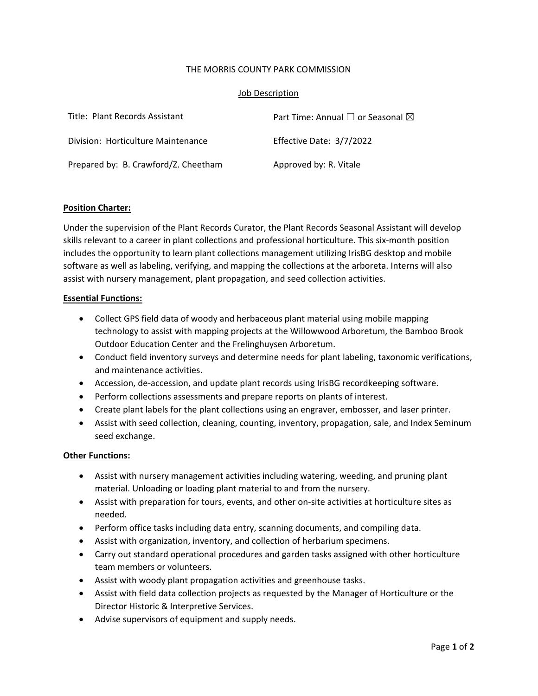## THE MORRIS COUNTY PARK COMMISSION

## Job Description

| Title: Plant Records Assistant       | Part Time: Annual $\square$ or Seasonal $\square$ |
|--------------------------------------|---------------------------------------------------|
| Division: Horticulture Maintenance   | Effective Date: 3/7/2022                          |
| Prepared by: B. Crawford/Z. Cheetham | Approved by: R. Vitale                            |

# **Position Charter:**

Under the supervision of the Plant Records Curator, the Plant Records Seasonal Assistant will develop skills relevant to a career in plant collections and professional horticulture. This six-month position includes the opportunity to learn plant collections management utilizing IrisBG desktop and mobile software as well as labeling, verifying, and mapping the collections at the arboreta. Interns will also assist with nursery management, plant propagation, and seed collection activities.

#### **Essential Functions:**

- Collect GPS field data of woody and herbaceous plant material using mobile mapping technology to assist with mapping projects at the Willowwood Arboretum, the Bamboo Brook Outdoor Education Center and the Frelinghuysen Arboretum.
- Conduct field inventory surveys and determine needs for plant labeling, taxonomic verifications, and maintenance activities.
- Accession, de-accession, and update plant records using IrisBG recordkeeping software.
- Perform collections assessments and prepare reports on plants of interest.
- Create plant labels for the plant collections using an engraver, embosser, and laser printer.
- Assist with seed collection, cleaning, counting, inventory, propagation, sale, and Index Seminum seed exchange.

#### **Other Functions:**

- Assist with nursery management activities including watering, weeding, and pruning plant material. Unloading or loading plant material to and from the nursery.
- Assist with preparation for tours, events, and other on-site activities at horticulture sites as needed.
- Perform office tasks including data entry, scanning documents, and compiling data.
- Assist with organization, inventory, and collection of herbarium specimens.
- Carry out standard operational procedures and garden tasks assigned with other horticulture team members or volunteers.
- Assist with woody plant propagation activities and greenhouse tasks.
- Assist with field data collection projects as requested by the Manager of Horticulture or the Director Historic & Interpretive Services.
- Advise supervisors of equipment and supply needs.